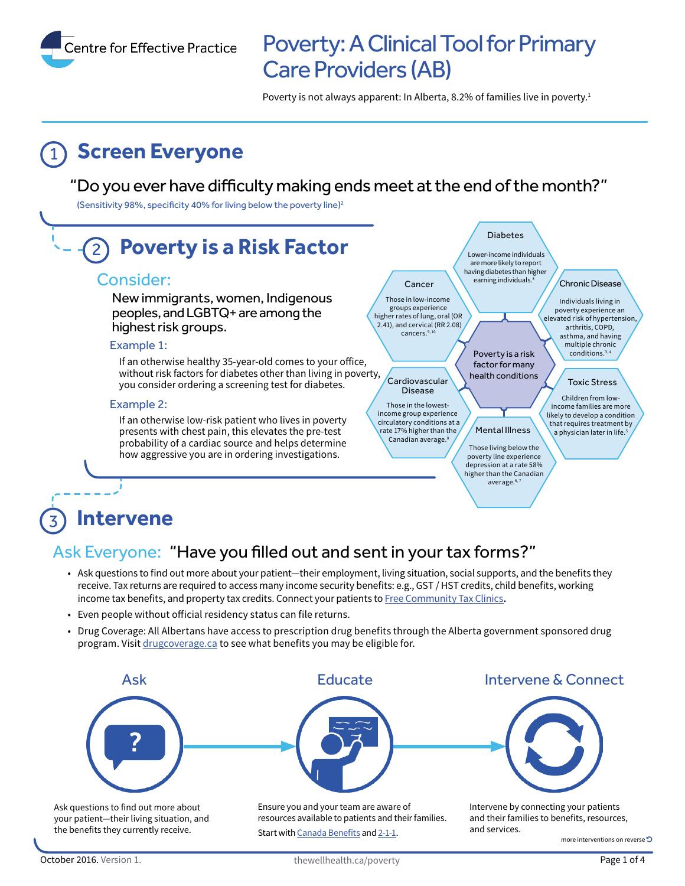Centre for Effective Practice

# Poverty: A Clinical Tool for Primary Care Providers (AB)

Poverty is not always apparent: In Alberta, 8.2% of families live in poverty.<sup>1</sup>

# **Screen Everyone**

#### "Do you ever have difficulty making ends meet at the end of the month?"

(Sensitivity 98%, specificity 40% for living below the poverty line)<sup>2</sup>



#### **Intervene**  3

### Ask Everyone: "Have you filled out and sent in your tax forms?"

- Ask questions to find out more about your patient—their employment, living situation, social supports, and the benefits they receive. Tax returns are required to access many income security benefits: e.g., GST / HST credits, child benefits, working income tax benefits, and property tax credits. Connect your patients to [Free Community Tax Clinics](http://www.cra-arc.gc.ca/tx/ndvdls/vlntr/clncs/ab-eng.html)**.**
- Even people without oficial residency status can file returns.
- Drug Coverage: All Albertans have access to prescription drug benefits through the Alberta government sponsored drug program. Visit [drugcoverage.ca](http://www.drugcoverage.ca) to see what benefits you may be eligible for.



October 2016. Version 1. The well health.ca/poverty extended the set of 4 and 2016. Version 1.

Start with [Canada Benefits](http://www.canadabenefits.gc.ca) and [2-1-1](http://www.ab.211.ca/).

more interventions on reverse  $\Box$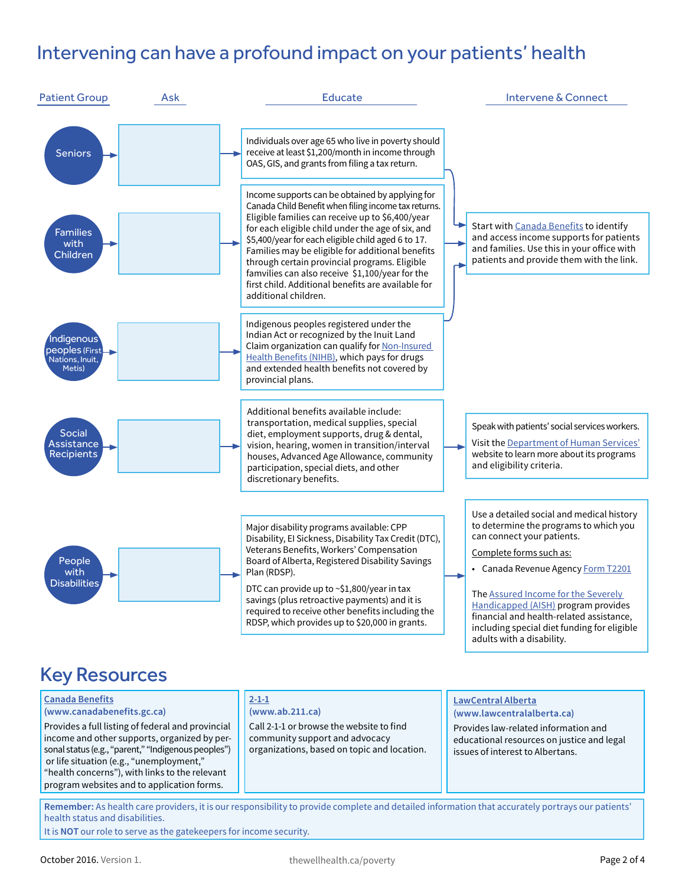## Intervening can have a profound impact on your patients' health



income and other supports, organized by personal status (e.g., "parent," "Indigenous peoples") or life situation (e.g., "unemployment," "health concerns"), with links to the relevant program websites and to application forms.

Call 2-1-1 or browse the website to find community support and advocacy organizations, based on topic and location.

Provides law-related information and educational resources on justice and legal issues of interest to Albertans.

**Remember:** As health care providers, it is our responsibility to provide complete and detailed information that accurately portrays our patients' health status and disabilities.

It is **NOT** our role to serve as the gatekeepers for income security.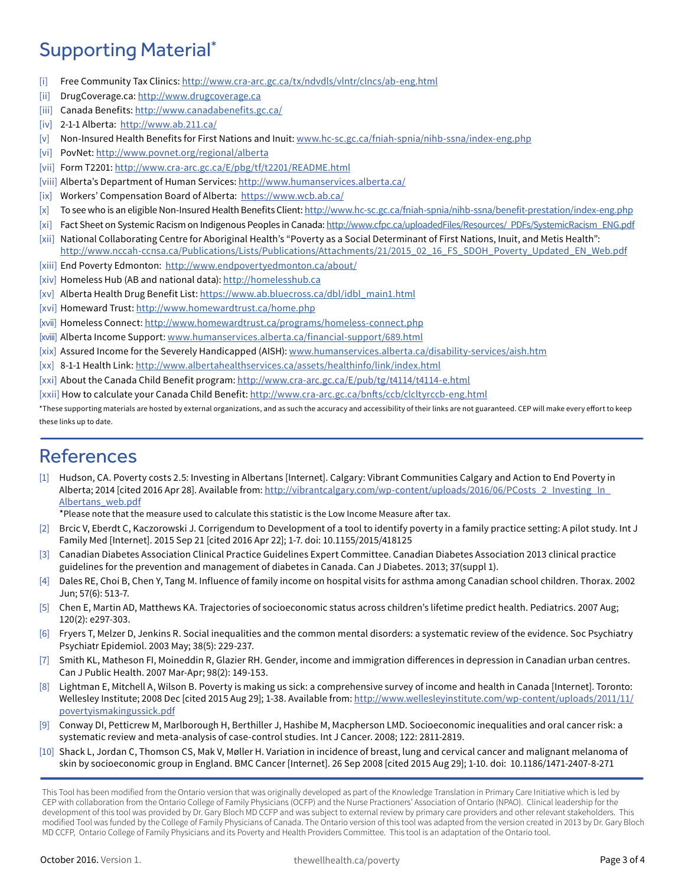## Supporting Material\*

- [i] Free Community Tax Clinics: <http://www.cra-arc.gc.ca/tx/ndvdls/vlntr/clncs/ab-eng.html>
- [ii] [DrugCoverage.ca](https://DrugCoverage.ca):<http://www.drugcoverage.ca>
- [iii] Canada Benefits: <http://www.canadabenefits.gc.ca/>
- [iv] 2-1-1 Alberta: http://www.ab.211.ca/
- [v] Non-Insured Health Benefits for First Nations and Inuit:<www.hc-sc.gc.ca/fniah-spnia/nihb-ssna/index-eng.php>
- [vi] PovNet: [http://](http://www.povnet.org/regional/alberta)www.povnet.org/regional/alberta
- [vii] Form T2201: http:/[/www.cra-arc.gc.ca/E/pbg/tf/t2201/README.html](http://www.cra-arc.gc.ca/E/pbg/tf/t2201/README.html)
- [viii] Alberta's Department of Human Services:<http://www.humanservices.alberta.ca/>
- [ix] Workers' Compensation Board of Alberta: <https://www.wcb.ab.ca/>
- [x] To see who is an eligible Non-Insured Health Benefits Client:<http://www.hc-sc.gc.ca/fniah-spnia/nihb-ssna/benefit-prestation/index-eng.php>
- [xi] Fact Sheet on Systemic Racism on Indigenous Peoples in Canada: [http://www.cfpc.ca/uploadedFiles/Resources/\\_PDFs/SystemicRacism\\_ENG.pdf](http://www.cfpc.ca/uploadedFiles/Resources/_PDFs/SystemicRacism_ENG.pdf)
- [xii] National Collaborating Centre for Aboriginal Health's "Poverty as a Social Determinant of First Nations, Inuit, and Metis Health": http://www.nccah-ccnsa.ca/Publications/Lists/Publications/Attachments/21/2015\_02\_16\_FS\_SDOH\_Poverty\_Updated\_EN\_Web.pdf
- [xiii] End Poverty Edmonton: http://www.endpovertyedmonton.ca/about/
- [xiv] Homeless Hub (AB and national data): http://homelesshub.ca
- [xv] Alberta Health Drug Benefit List: [https://www.ab.bluecross.ca/dbl/idbl\\_main1.html](https://www.ab.bluecross.ca/dbl/idbl_main1.html)
- [xvi] Homeward Trust: http://www.homewardtrust.ca/home.php
- [xvii] Homeless Connect: <http://www.homewardtrust.ca/programs/homeless-connect.php>
- [xviii] Alberta Income Support: <www.humanservices.alberta.ca/financial-support/689.html>
- [xix] Assured Income for the Severely Handicapped (AISH): www.humanservices.alberta.ca/disability-services/aish.htm
- [xx] 8-1-1 Health Link:<http://www.albertahealthservices.ca/assets/healthinfo/link/index.html>
- [xxi] About the Canada Child Benefit program:<http://www.cra-arc.gc.ca/E/pub/tg/t4114/t4114-e.html>
- [xxii] How to calculate your Canada Child Benefit: http://www.cra-arc.gc.ca/bnfts/ccb/clcltyrccb-eng.html

\*These supporting materials are hosted by external organizations, and as such the accuracy and accessibility of their links are not guaranteed. CEP will make every efort to keep these links up to date.

#### References

- [1] Hudson, CA. Poverty costs 2.5: Investing in Albertans [Internet]. Calgary: Vibrant Communities Calgary and Action to End Poverty in Alberta; 2014 [cited 2016 Apr 28]. Available from: http://vibrantcalgary.com/wp-content/uploads/2016/06/PCosts\_2\_Investing\_In\_ [Albertans\\_web.pdf](http://vibrantcalgary.com/wp-content/uploads/2016/06/PCosts_2_Investing_In_Albertans_web.pdf)
	- \*Please note that the measure used to calculate this statistic is the Low Income Measure afer tax.
- [2] Brcic V, Eberdt C, Kaczorowski J. Corrigendum to Development of a tool to identify poverty in a family practice setting: A pilot study. Int J Family Med [Internet]. 2015 Sep 21 [cited 2016 Apr 22]; 1-7. doi: 10.1155/2015/418125
- [3] Canadian Diabetes Association Clinical Practice Guidelines Expert Committee. Canadian Diabetes Association 2013 clinical practice guidelines for the prevention and management of diabetes in Canada. Can J Diabetes. 2013; 37(suppl 1).
- [4] Dales RE, Choi B, Chen Y, Tang M. Influence of family income on hospital visits for asthma among Canadian school children. Thorax. 2002 Jun; 57(6): 513-7.
- [5] Chen E, Martin AD, Matthews KA. Trajectories of socioeconomic status across children's lifetime predict health. Pediatrics. 2007 Aug; 120(2): e297-303.
- [6] Fryers T, Melzer D, Jenkins R. Social inequalities and the common mental disorders: a systematic review of the evidence. Soc Psychiatry Psychiatr Epidemiol. 2003 May; 38(5): 229-237.
- [7] Smith KL, Matheson FI, Moineddin R, Glazier RH. Gender, income and immigration diferences in depression in Canadian urban centres. Can J Public Health. 2007 Mar-Apr; 98(2): 149-153.
- [8] Lightman E, Mitchell A, Wilson B. Poverty is making us sick: a comprehensive survey of income and health in Canada [Internet]. Toronto: Wellesley Institute; 2008 Dec [cited 2015 Aug 29]; 1-38. Available from: http://www.wellesleyinstitute.com/wp-content/uploads/2011/11/ [povertyismakingussick.pdf](http://www.wellesleyinstitute.com/wp-content/uploads/2011/11/povertyismakingussick.pdf)
- [9] Conway DI, Petticrew M, Marlborough H, Berthiller J, Hashibe M, Macpherson LMD. Socioeconomic inequalities and oral cancer risk: a systematic review and meta-analysis of case-control studies. Int J Cancer. 2008; 122: 2811-2819.
- [10] Shack L, Jordan C, Thomson CS, Mak V, Møller H. Variation in incidence of breast, lung and cervical cancer and malignant melanoma of skin by socioeconomic group in England. BMC Cancer [Internet]. 26 Sep 2008 [cited 2015 Aug 29]; 1-10. doi: 10.1186/1471-2407-8-271

This Tool has been modified from the Ontario version that was originally developed as part of the Knowledge Translation in Primary Care Initiative which is led by CEP with collaboration from the Ontario College of Family Physicians (OCFP) and the Nurse Practioners' Association of Ontario (NPAO). Clinical leadership for the development of this tool was provided by Dr. Gary Bloch MD CCFP and was subject to external review by primary care providers and other relevant stakeholders. This modified Tool was funded by the College of Family Physicians of Canada. The Ontario version of this tool was adapted from the version created in 2013 by Dr. Gary Bloch MD CCFP, Ontario College of Family Physicians and its Poverty and Health Providers Committee. This tool is an adaptation of the Ontario tool.